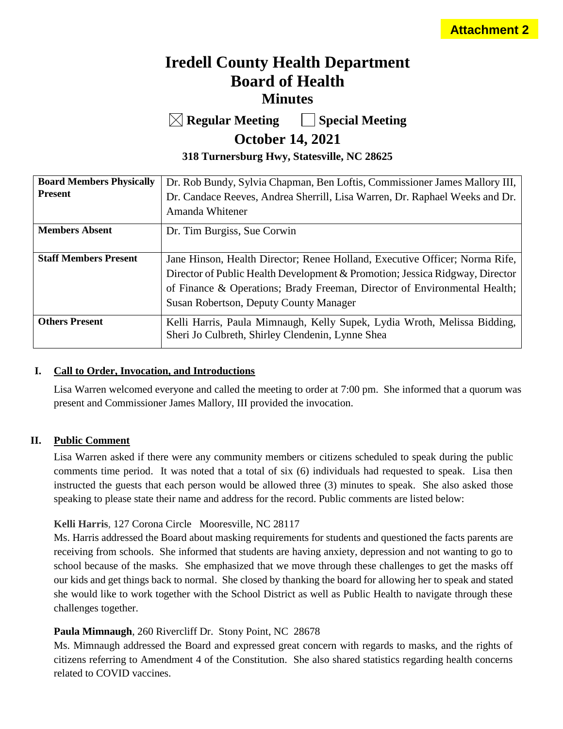# **Iredell County Health Department Board of Health Minutes**

**Regular Meeting Special Meeting**

# **October 14, 2021**

**318 Turnersburg Hwy, Statesville, NC 28625**

| <b>Board Members Physically</b><br><b>Present</b> | Dr. Rob Bundy, Sylvia Chapman, Ben Loftis, Commissioner James Mallory III,<br>Dr. Candace Reeves, Andrea Sherrill, Lisa Warren, Dr. Raphael Weeks and Dr.<br>Amanda Whitener |
|---------------------------------------------------|------------------------------------------------------------------------------------------------------------------------------------------------------------------------------|
|                                                   |                                                                                                                                                                              |
| <b>Members Absent</b>                             | Dr. Tim Burgiss, Sue Corwin                                                                                                                                                  |
|                                                   |                                                                                                                                                                              |
| <b>Staff Members Present</b>                      | Jane Hinson, Health Director; Renee Holland, Executive Officer; Norma Rife,                                                                                                  |
|                                                   | Director of Public Health Development & Promotion; Jessica Ridgway, Director                                                                                                 |
|                                                   | of Finance & Operations; Brady Freeman, Director of Environmental Health;                                                                                                    |
|                                                   | Susan Robertson, Deputy County Manager                                                                                                                                       |
| <b>Others Present</b>                             | Kelli Harris, Paula Mimnaugh, Kelly Supek, Lydia Wroth, Melissa Bidding,                                                                                                     |
|                                                   | Sheri Jo Culbreth, Shirley Clendenin, Lynne Shea                                                                                                                             |

## **I. Call to Order, Invocation, and Introductions**

Lisa Warren welcomed everyone and called the meeting to order at 7:00 pm. She informed that a quorum was present and Commissioner James Mallory, III provided the invocation.

# **II. Public Comment**

Lisa Warren asked if there were any community members or citizens scheduled to speak during the public comments time period. It was noted that a total of six (6) individuals had requested to speak. Lisa then instructed the guests that each person would be allowed three (3) minutes to speak. She also asked those speaking to please state their name and address for the record. Public comments are listed below:

# **Kelli Harris**, 127 Corona Circle Mooresville, NC 28117

Ms. Harris addressed the Board about masking requirements for students and questioned the facts parents are receiving from schools. She informed that students are having anxiety, depression and not wanting to go to school because of the masks. She emphasized that we move through these challenges to get the masks off our kids and get things back to normal. She closed by thanking the board for allowing her to speak and stated she would like to work together with the School District as well as Public Health to navigate through these challenges together.

# **Paula Mimnaugh**, 260 Rivercliff Dr. Stony Point, NC 28678

Ms. Mimnaugh addressed the Board and expressed great concern with regards to masks, and the rights of citizens referring to Amendment 4 of the Constitution. She also shared statistics regarding health concerns related to COVID vaccines.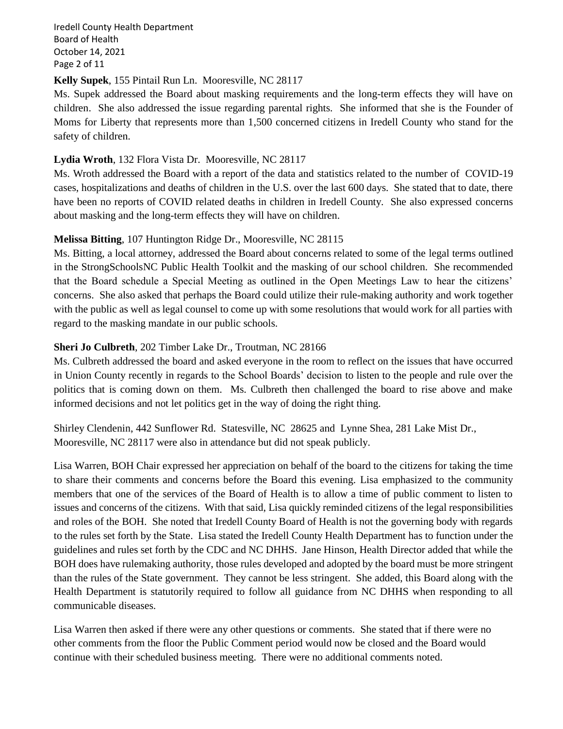Iredell County Health Department Board of Health October 14, 2021 Page 2 of 11

### **Kelly Supek**, 155 Pintail Run Ln. Mooresville, NC 28117

Ms. Supek addressed the Board about masking requirements and the long-term effects they will have on children. She also addressed the issue regarding parental rights. She informed that she is the Founder of Moms for Liberty that represents more than 1,500 concerned citizens in Iredell County who stand for the safety of children.

# **Lydia Wroth**, 132 Flora Vista Dr. Mooresville, NC 28117

Ms. Wroth addressed the Board with a report of the data and statistics related to the number of COVID-19 cases, hospitalizations and deaths of children in the U.S. over the last 600 days. She stated that to date, there have been no reports of COVID related deaths in children in Iredell County. She also expressed concerns about masking and the long-term effects they will have on children.

### **Melissa Bitting**, 107 Huntington Ridge Dr., Mooresville, NC 28115

Ms. Bitting, a local attorney, addressed the Board about concerns related to some of the legal terms outlined in the StrongSchoolsNC Public Health Toolkit and the masking of our school children. She recommended that the Board schedule a Special Meeting as outlined in the Open Meetings Law to hear the citizens' concerns. She also asked that perhaps the Board could utilize their rule-making authority and work together with the public as well as legal counsel to come up with some resolutions that would work for all parties with regard to the masking mandate in our public schools.

# **Sheri Jo Culbreth**, 202 Timber Lake Dr., Troutman, NC 28166

Ms. Culbreth addressed the board and asked everyone in the room to reflect on the issues that have occurred in Union County recently in regards to the School Boards' decision to listen to the people and rule over the politics that is coming down on them. Ms. Culbreth then challenged the board to rise above and make informed decisions and not let politics get in the way of doing the right thing.

Shirley Clendenin, 442 Sunflower Rd. Statesville, NC 28625 and Lynne Shea, 281 Lake Mist Dr., Mooresville, NC 28117 were also in attendance but did not speak publicly.

Lisa Warren, BOH Chair expressed her appreciation on behalf of the board to the citizens for taking the time to share their comments and concerns before the Board this evening. Lisa emphasized to the community members that one of the services of the Board of Health is to allow a time of public comment to listen to issues and concerns of the citizens. With that said, Lisa quickly reminded citizens of the legal responsibilities and roles of the BOH. She noted that Iredell County Board of Health is not the governing body with regards to the rules set forth by the State. Lisa stated the Iredell County Health Department has to function under the guidelines and rules set forth by the CDC and NC DHHS. Jane Hinson, Health Director added that while the BOH does have rulemaking authority, those rules developed and adopted by the board must be more stringent than the rules of the State government. They cannot be less stringent. She added, this Board along with the Health Department is statutorily required to follow all guidance from NC DHHS when responding to all communicable diseases.

Lisa Warren then asked if there were any other questions or comments. She stated that if there were no other comments from the floor the Public Comment period would now be closed and the Board would continue with their scheduled business meeting. There were no additional comments noted.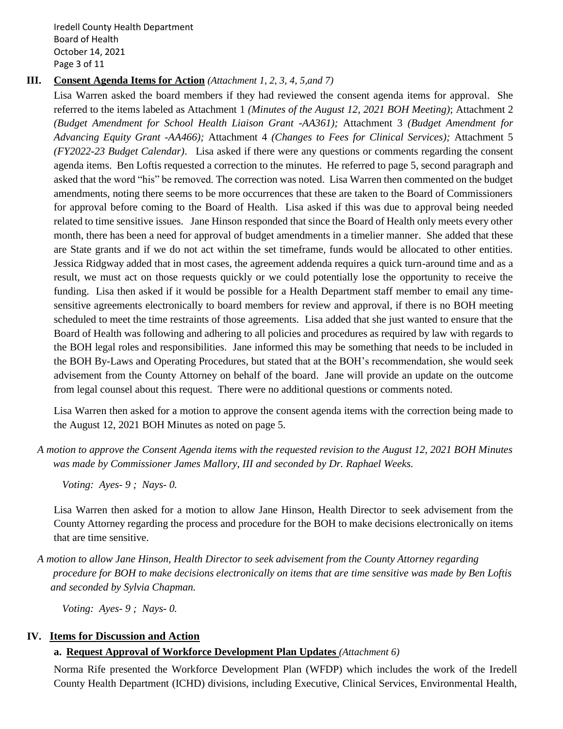Iredell County Health Department Board of Health October 14, 2021 Page 3 of 11

## **III. Consent Agenda Items for Action** *(Attachment 1, 2, 3, 4, 5,and 7)*

Lisa Warren asked the board members if they had reviewed the consent agenda items for approval. She referred to the items labeled as Attachment 1 *(Minutes of the August 12, 2021 BOH Meeting)*; Attachment 2 *(Budget Amendment for School Health Liaison Grant -AA361);* Attachment 3 *(Budget Amendment for Advancing Equity Grant -AA466);* Attachment 4 *(Changes to Fees for Clinical Services);* Attachment 5 *(FY2022-23 Budget Calendar)*. Lisa asked if there were any questions or comments regarding the consent agenda items. Ben Loftis requested a correction to the minutes. He referred to page 5, second paragraph and asked that the word "his" be removed. The correction was noted. Lisa Warren then commented on the budget amendments, noting there seems to be more occurrences that these are taken to the Board of Commissioners for approval before coming to the Board of Health. Lisa asked if this was due to approval being needed related to time sensitive issues. Jane Hinson responded that since the Board of Health only meets every other month, there has been a need for approval of budget amendments in a timelier manner. She added that these are State grants and if we do not act within the set timeframe, funds would be allocated to other entities. Jessica Ridgway added that in most cases, the agreement addenda requires a quick turn-around time and as a result, we must act on those requests quickly or we could potentially lose the opportunity to receive the funding. Lisa then asked if it would be possible for a Health Department staff member to email any timesensitive agreements electronically to board members for review and approval, if there is no BOH meeting scheduled to meet the time restraints of those agreements. Lisa added that she just wanted to ensure that the Board of Health was following and adhering to all policies and procedures as required by law with regards to the BOH legal roles and responsibilities. Jane informed this may be something that needs to be included in the BOH By-Laws and Operating Procedures, but stated that at the BOH's recommendation, she would seek advisement from the County Attorney on behalf of the board. Jane will provide an update on the outcome from legal counsel about this request. There were no additional questions or comments noted.

Lisa Warren then asked for a motion to approve the consent agenda items with the correction being made to the August 12, 2021 BOH Minutes as noted on page 5.

*A motion to approve the Consent Agenda items with the requested revision to the August 12, 2021 BOH Minutes was made by Commissioner James Mallory, III and seconded by Dr. Raphael Weeks.*

*Voting: Ayes- 9 ; Nays- 0.* 

Lisa Warren then asked for a motion to allow Jane Hinson, Health Director to seek advisement from the County Attorney regarding the process and procedure for the BOH to make decisions electronically on items that are time sensitive.

*A motion to allow Jane Hinson, Health Director to seek advisement from the County Attorney regarding procedure for BOH to make decisions electronically on items that are time sensitive was made by Ben Loftis and seconded by Sylvia Chapman.*

*Voting: Ayes- 9 ; Nays- 0.* 

# **IV. Items for Discussion and Action**

# **a. Request Approval of Workforce Development Plan Updates** *(Attachment 6)*

Norma Rife presented the Workforce Development Plan (WFDP) which includes the work of the Iredell County Health Department (ICHD) divisions, including Executive, Clinical Services, Environmental Health,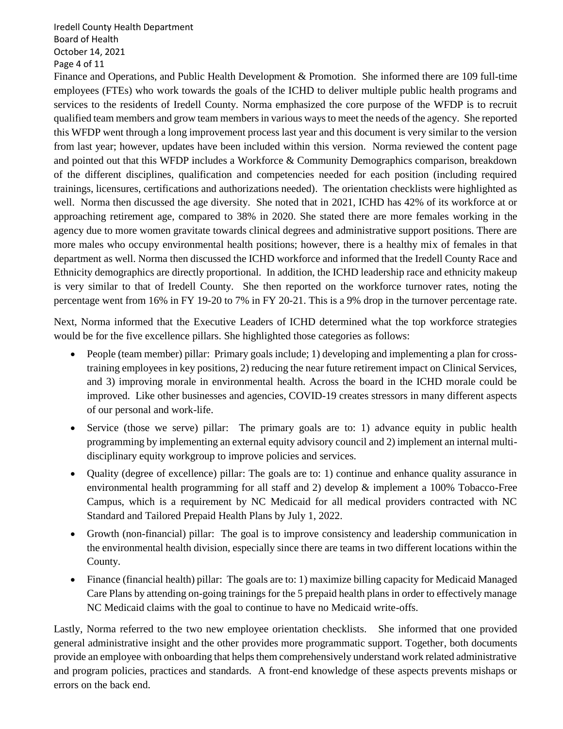Iredell County Health Department Board of Health October 14, 2021 Page 4 of 11

Finance and Operations, and Public Health Development & Promotion. She informed there are 109 full-time employees (FTEs) who work towards the goals of the ICHD to deliver multiple public health programs and services to the residents of Iredell County. Norma emphasized the core purpose of the WFDP is to recruit qualified team members and grow team members in various ways to meet the needs of the agency. She reported this WFDP went through a long improvement process last year and this document is very similar to the version from last year; however, updates have been included within this version. Norma reviewed the content page and pointed out that this WFDP includes a Workforce & Community Demographics comparison, breakdown of the different disciplines, qualification and competencies needed for each position (including required trainings, licensures, certifications and authorizations needed). The orientation checklists were highlighted as well. Norma then discussed the age diversity. She noted that in 2021, ICHD has 42% of its workforce at or approaching retirement age, compared to 38% in 2020. She stated there are more females working in the agency due to more women gravitate towards clinical degrees and administrative support positions. There are more males who occupy environmental health positions; however, there is a healthy mix of females in that department as well. Norma then discussed the ICHD workforce and informed that the Iredell County Race and Ethnicity demographics are directly proportional. In addition, the ICHD leadership race and ethnicity makeup is very similar to that of Iredell County. She then reported on the workforce turnover rates, noting the percentage went from 16% in FY 19-20 to 7% in FY 20-21. This is a 9% drop in the turnover percentage rate.

Next, Norma informed that the Executive Leaders of ICHD determined what the top workforce strategies would be for the five excellence pillars. She highlighted those categories as follows:

- People (team member) pillar: Primary goals include; 1) developing and implementing a plan for crosstraining employees in key positions, 2) reducing the near future retirement impact on Clinical Services, and 3) improving morale in environmental health. Across the board in the ICHD morale could be improved. Like other businesses and agencies, COVID-19 creates stressors in many different aspects of our personal and work-life.
- Service (those we serve) pillar: The primary goals are to: 1) advance equity in public health programming by implementing an external equity advisory council and 2) implement an internal multidisciplinary equity workgroup to improve policies and services.
- Quality (degree of excellence) pillar: The goals are to: 1) continue and enhance quality assurance in environmental health programming for all staff and 2) develop & implement a 100% Tobacco-Free Campus, which is a requirement by NC Medicaid for all medical providers contracted with NC Standard and Tailored Prepaid Health Plans by July 1, 2022.
- Growth (non-financial) pillar: The goal is to improve consistency and leadership communication in the environmental health division, especially since there are teams in two different locations within the County.
- Finance (financial health) pillar: The goals are to: 1) maximize billing capacity for Medicaid Managed Care Plans by attending on-going trainings for the 5 prepaid health plans in order to effectively manage NC Medicaid claims with the goal to continue to have no Medicaid write-offs.

Lastly, Norma referred to the two new employee orientation checklists. She informed that one provided general administrative insight and the other provides more programmatic support. Together, both documents provide an employee with onboarding that helps them comprehensively understand work related administrative and program policies, practices and standards. A front-end knowledge of these aspects prevents mishaps or errors on the back end.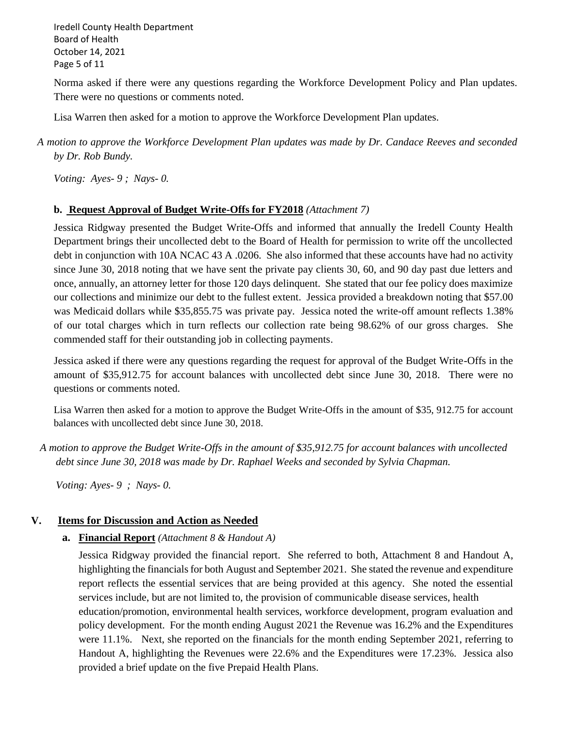Iredell County Health Department Board of Health October 14, 2021 Page 5 of 11

Norma asked if there were any questions regarding the Workforce Development Policy and Plan updates. There were no questions or comments noted.

Lisa Warren then asked for a motion to approve the Workforce Development Plan updates.

# *A motion to approve the Workforce Development Plan updates was made by Dr. Candace Reeves and seconded by Dr. Rob Bundy.*

*Voting: Ayes- 9 ; Nays- 0.*

### **b. Request Approval of Budget Write-Offs for FY2018** *(Attachment 7)*

Jessica Ridgway presented the Budget Write-Offs and informed that annually the Iredell County Health Department brings their uncollected debt to the Board of Health for permission to write off the uncollected debt in conjunction with 10A NCAC 43 A .0206. She also informed that these accounts have had no activity since June 30, 2018 noting that we have sent the private pay clients 30, 60, and 90 day past due letters and once, annually, an attorney letter for those 120 days delinquent. She stated that our fee policy does maximize our collections and minimize our debt to the fullest extent. Jessica provided a breakdown noting that \$57.00 was Medicaid dollars while \$35,855.75 was private pay. Jessica noted the write-off amount reflects 1.38% of our total charges which in turn reflects our collection rate being 98.62% of our gross charges. She commended staff for their outstanding job in collecting payments.

Jessica asked if there were any questions regarding the request for approval of the Budget Write-Offs in the amount of \$35,912.75 for account balances with uncollected debt since June 30, 2018. There were no questions or comments noted.

Lisa Warren then asked for a motion to approve the Budget Write-Offs in the amount of \$35, 912.75 for account balances with uncollected debt since June 30, 2018.

*A motion to approve the Budget Write-Offs in the amount of \$35,912.75 for account balances with uncollected debt since June 30, 2018 was made by Dr. Raphael Weeks and seconded by Sylvia Chapman.* 

 *Voting: Ayes- 9 ; Nays- 0.*

# **V. Items for Discussion and Action as Needed**

**a. Financial Report** *(Attachment 8 & Handout A)*

Jessica Ridgway provided the financial report. She referred to both, Attachment 8 and Handout A, highlighting the financials for both August and September 2021. She stated the revenue and expenditure report reflects the essential services that are being provided at this agency. She noted the essential services include, but are not limited to, the provision of communicable disease services, health education/promotion, environmental health services, workforce development, program evaluation and policy development. For the month ending August 2021 the Revenue was 16.2% and the Expenditures were 11.1%. Next, she reported on the financials for the month ending September 2021, referring to Handout A, highlighting the Revenues were 22.6% and the Expenditures were 17.23%. Jessica also provided a brief update on the five Prepaid Health Plans.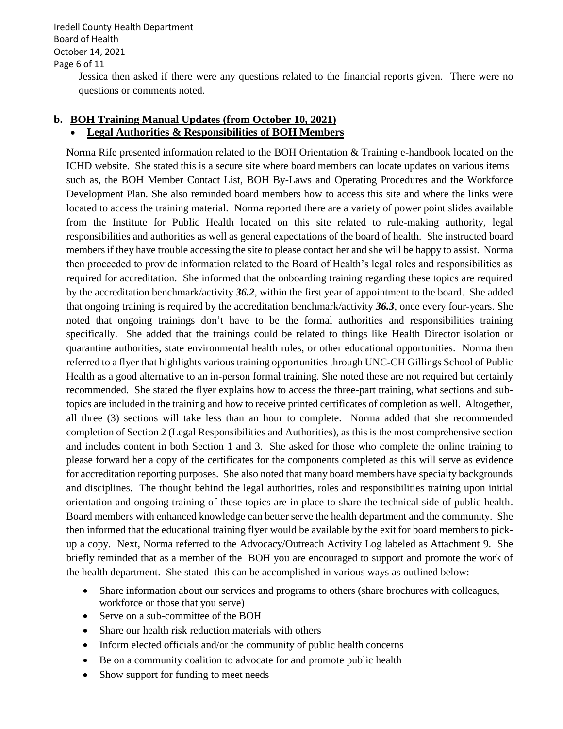Iredell County Health Department Board of Health October 14, 2021 Page 6 of 11

> Jessica then asked if there were any questions related to the financial reports given. There were no questions or comments noted.

### **b. BOH Training Manual Updates (from October 10, 2021)** • **Legal Authorities & Responsibilities of BOH Members**

Norma Rife presented information related to the BOH Orientation & Training e-handbook located on the ICHD website. She stated this is a secure site where board members can locate updates on various items such as, the BOH Member Contact List, BOH By-Laws and Operating Procedures and the Workforce Development Plan. She also reminded board members how to access this site and where the links were located to access the training material. Norma reported there are a variety of power point slides available from the Institute for Public Health located on this site related to rule-making authority, legal responsibilities and authorities as well as general expectations of the board of health. She instructed board members if they have trouble accessing the site to please contact her and she will be happy to assist. Norma then proceeded to provide information related to the Board of Health's legal roles and responsibilities as required for accreditation. She informed that the onboarding training regarding these topics are required by the accreditation benchmark/activity *36.2,* within the first year of appointment to the board. She added that ongoing training is required by the accreditation benchmark/activity *36.3*, once every four-years. She noted that ongoing trainings don't have to be the formal authorities and responsibilities training specifically. She added that the trainings could be related to things like Health Director isolation or quarantine authorities, state environmental health rules, or other educational opportunities. Norma then referred to a flyer that highlights various training opportunities through UNC-CH Gillings School of Public Health as a good alternative to an in-person formal training. She noted these are not required but certainly recommended. She stated the flyer explains how to access the three-part training, what sections and subtopics are included in the training and how to receive printed certificates of completion as well. Altogether, all three (3) sections will take less than an hour to complete. Norma added that she recommended completion of Section 2 (Legal Responsibilities and Authorities), as this is the most comprehensive section and includes content in both Section 1 and 3. She asked for those who complete the online training to please forward her a copy of the certificates for the components completed as this will serve as evidence for accreditation reporting purposes. She also noted that many board members have specialty backgrounds and disciplines. The thought behind the legal authorities, roles and responsibilities training upon initial orientation and ongoing training of these topics are in place to share the technical side of public health. Board members with enhanced knowledge can better serve the health department and the community. She then informed that the educational training flyer would be available by the exit for board members to pickup a copy. Next, Norma referred to the Advocacy/Outreach Activity Log labeled as Attachment 9. She briefly reminded that as a member of the BOH you are encouraged to support and promote the work of the health department. She stated this can be accomplished in various ways as outlined below:

- Share information about our services and programs to others (share brochures with colleagues, workforce or those that you serve)
- Serve on a sub-committee of the BOH
- Share our health risk reduction materials with others
- Inform elected officials and/or the community of public health concerns
- Be on a community coalition to advocate for and promote public health
- Show support for funding to meet needs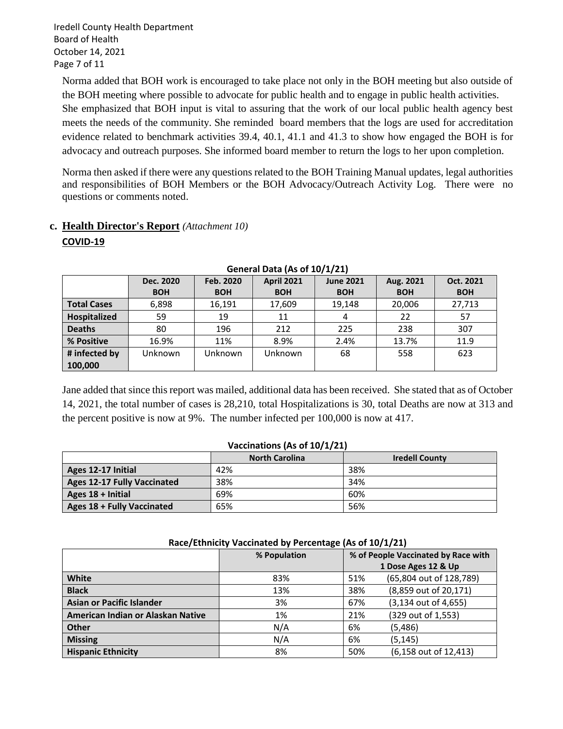Iredell County Health Department Board of Health October 14, 2021 Page 7 of 11

Norma added that BOH work is encouraged to take place not only in the BOH meeting but also outside of the BOH meeting where possible to advocate for public health and to engage in public health activities. She emphasized that BOH input is vital to assuring that the work of our local public health agency best meets the needs of the community. She reminded board members that the logs are used for accreditation evidence related to benchmark activities 39.4, 40.1, 41.1 and 41.3 to show how engaged the BOH is for advocacy and outreach purposes. She informed board member to return the logs to her upon completion.

Norma then asked if there were any questions related to the BOH Training Manual updates, legal authorities and responsibilities of BOH Members or the BOH Advocacy/Outreach Activity Log. There were no questions or comments noted.

# **c. Health Director's Report** *(Attachment 10)* **COVID-19**

| $9010101$ Data (A) 01 10/1/21 |                                             |            |                  |            |            |            |
|-------------------------------|---------------------------------------------|------------|------------------|------------|------------|------------|
|                               | <b>April 2021</b><br>Feb. 2020<br>Dec. 2020 |            | <b>June 2021</b> | Aug. 2021  | Oct. 2021  |            |
|                               | <b>BOH</b>                                  | <b>BOH</b> | <b>BOH</b>       | <b>BOH</b> | <b>BOH</b> | <b>BOH</b> |
| <b>Total Cases</b>            | 6,898                                       | 16,191     | 17,609           | 19,148     | 20,006     | 27,713     |
| Hospitalized                  | 59                                          | 19         | 11               | 4          | 22         | 57         |
| <b>Deaths</b>                 | 80                                          | 196        | 212              | 225        | 238        | 307        |
| % Positive                    | 16.9%                                       | 11%        | 8.9%             | 2.4%       | 13.7%      | 11.9       |
| # infected by                 | Unknown                                     | Unknown    | Unknown          | 68         | 558        | 623        |
| 100,000                       |                                             |            |                  |            |            |            |

#### **General Data (As of 10/1/21)**

Jane added that since this report was mailed, additional data has been received. She stated that as of October 14, 2021, the total number of cases is 28,210, total Hospitalizations is 30, total Deaths are now at 313 and the percent positive is now at 9%. The number infected per 100,000 is now at 417.

#### **Vaccinations (As of 10/1/21)**

|                                    | <b>North Carolina</b> | <b>Iredell County</b> |
|------------------------------------|-----------------------|-----------------------|
| Ages 12-17 Initial                 | 42%                   | 38%                   |
| <b>Ages 12-17 Fully Vaccinated</b> | 38%                   | 34%                   |
| Ages 18 + Initial                  | 69%                   | 60%                   |
| Ages 18 + Fully Vaccinated         | 65%                   | 56%                   |

| $\frac{1}{2}$                     |              |                                     |                         |  |  |
|-----------------------------------|--------------|-------------------------------------|-------------------------|--|--|
|                                   | % Population | % of People Vaccinated by Race with |                         |  |  |
|                                   |              |                                     | 1 Dose Ages 12 & Up     |  |  |
| White                             | 83%          | 51%                                 | (65,804 out of 128,789) |  |  |
| <b>Black</b>                      | 13%          | 38%                                 | (8,859 out of 20,171)   |  |  |
| <b>Asian or Pacific Islander</b>  | 3%           | 67%                                 | $(3,134$ out of 4,655)  |  |  |
| American Indian or Alaskan Native | 1%           | 21%                                 | (329 out of 1,553)      |  |  |
| Other                             | N/A          | 6%                                  | (5,486)                 |  |  |
| <b>Missing</b>                    | N/A          | 6%                                  | (5, 145)                |  |  |
| <b>Hispanic Ethnicity</b>         | 8%           | 50%                                 | (6,158 out of 12,413)   |  |  |

#### **Race/Ethnicity Vaccinated by Percentage (As of 10/1/21)**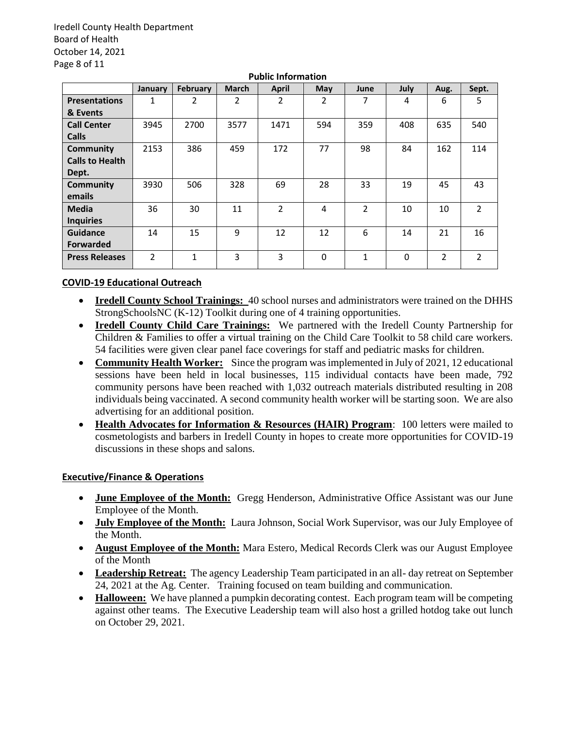Iredell County Health Department Board of Health October 14, 2021 Page 8 of 11

| <b>Public Information</b> |                |          |              |                |          |                |             |                |                |
|---------------------------|----------------|----------|--------------|----------------|----------|----------------|-------------|----------------|----------------|
|                           | January        | February | <b>March</b> | <b>April</b>   | May      | June           | <b>July</b> | Aug.           | Sept.          |
| <b>Presentations</b>      | 1              | 2        | 2            | $\overline{2}$ | 2        | 7              | 4           | 6              | 5              |
| & Events                  |                |          |              |                |          |                |             |                |                |
| <b>Call Center</b>        | 3945           | 2700     | 3577         | 1471           | 594      | 359            | 408         | 635            | 540            |
| <b>Calls</b>              |                |          |              |                |          |                |             |                |                |
| <b>Community</b>          | 2153           | 386      | 459          | 172            | 77       | 98             | 84          | 162            | 114            |
| <b>Calls to Health</b>    |                |          |              |                |          |                |             |                |                |
| Dept.                     |                |          |              |                |          |                |             |                |                |
| <b>Community</b>          | 3930           | 506      | 328          | 69             | 28       | 33             | 19          | 45             | 43             |
| emails                    |                |          |              |                |          |                |             |                |                |
| <b>Media</b>              | 36             | 30       | 11           | $\mathfrak{p}$ | 4        | $\overline{2}$ | 10          | 10             | $\overline{2}$ |
| <b>Inquiries</b>          |                |          |              |                |          |                |             |                |                |
| <b>Guidance</b>           | 14             | 15       | 9            | 12             | 12       | 6              | 14          | 21             | 16             |
| <b>Forwarded</b>          |                |          |              |                |          |                |             |                |                |
| <b>Press Releases</b>     | $\overline{2}$ | 1        | 3            | 3              | $\Omega$ | 1              | $\Omega$    | $\overline{2}$ | $\overline{2}$ |

#### **COVID-19 Educational Outreach**

- **Iredell County School Trainings:** 40 school nurses and administrators were trained on the DHHS StrongSchoolsNC (K-12) Toolkit during one of 4 training opportunities.
- **Iredell County Child Care Trainings:** We partnered with the Iredell County Partnership for Children & Families to offer a virtual training on the Child Care Toolkit to 58 child care workers. 54 facilities were given clear panel face coverings for staff and pediatric masks for children.
- **Community Health Worker:** Since the program was implemented in July of 2021, 12 educational sessions have been held in local businesses, 115 individual contacts have been made, 792 community persons have been reached with 1,032 outreach materials distributed resulting in 208 individuals being vaccinated. A second community health worker will be starting soon. We are also advertising for an additional position.
- **Health Advocates for Information & Resources (HAIR) Program**: 100 letters were mailed to cosmetologists and barbers in Iredell County in hopes to create more opportunities for COVID-19 discussions in these shops and salons.

### **Executive/Finance & Operations**

- **June Employee of the Month:** Gregg Henderson, Administrative Office Assistant was our June Employee of the Month.
- **July Employee of the Month:** Laura Johnson, Social Work Supervisor, was our July Employee of the Month.
- **August Employee of the Month:** Mara Estero, Medical Records Clerk was our August Employee of the Month
- **Leadership Retreat:** The agency Leadership Team participated in an all- day retreat on September 24, 2021 at the Ag. Center. Training focused on team building and communication.
- **Halloween:** We have planned a pumpkin decorating contest. Each program team will be competing against other teams. The Executive Leadership team will also host a grilled hotdog take out lunch on October 29, 2021.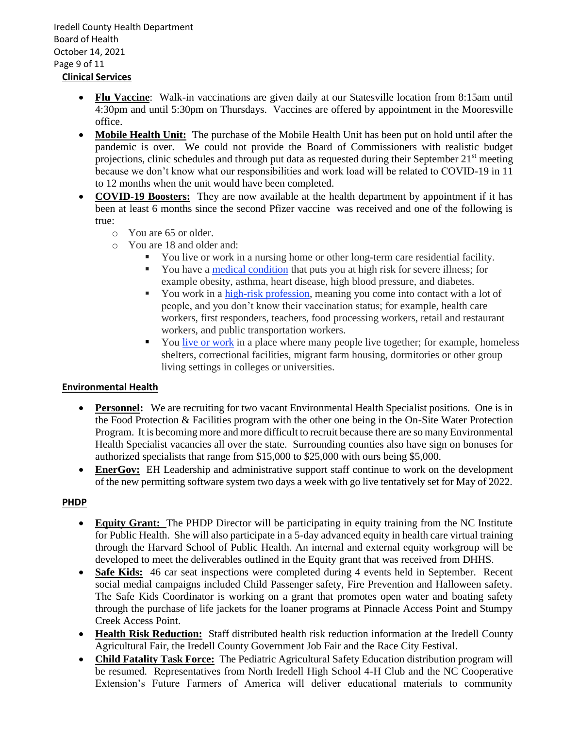Iredell County Health Department Board of Health October 14, 2021 Page 9 of 11 **Clinical Services** 

- **Flu Vaccine**: Walk-in vaccinations are given daily at our Statesville location from 8:15am until 4:30pm and until 5:30pm on Thursdays. Vaccines are offered by appointment in the Mooresville office.
- **Mobile Health Unit:** The purchase of the Mobile Health Unit has been put on hold until after the pandemic is over. We could not provide the Board of Commissioners with realistic budget projections, clinic schedules and through put data as requested during their September  $21<sup>st</sup>$  meeting because we don't know what our responsibilities and work load will be related to COVID-19 in 11 to 12 months when the unit would have been completed.
- **COVID-19 Boosters:** They are now available at the health department by appointment if it has been at least 6 months since the second Pfizer vaccine was received and one of the following is true:
	- o You are 65 or older.
	- o You are 18 and older and:
		- You live or work in a nursing home or other long-term care residential facility.
		- You have a [medical condition](https://urldefense.com/v3/__https:/ncdhhs.us4.list-manage.com/track/click?u=58ec19aaea4630b1baad0e5e4&id=ab7ea7056b&e=0ff3edb293__;!!EhkxsyMbvmag3wIL!eEtDT7Zig9KvBro5p4ZRDp7HzYis4BNWp7m35YMDwq75WebKnnBu2cvyXBFNSLQDBL0NbHZY$) that puts you at high risk for severe illness; for example obesity, asthma, heart disease, high blood pressure, and diabetes.
		- You work in a [high-risk profession,](https://urldefense.com/v3/__https:/ncdhhs.us4.list-manage.com/track/click?u=58ec19aaea4630b1baad0e5e4&id=4c514c4986&e=0ff3edb293__;!!EhkxsyMbvmag3wIL!eEtDT7Zig9KvBro5p4ZRDp7HzYis4BNWp7m35YMDwq75WebKnnBu2cvyXBFNSLQDBDBmq86t$) meaning you come into contact with a lot of people, and you don't know their vaccination status; for example, health care workers, first responders, teachers, food processing workers, retail and restaurant workers, and public transportation workers.
		- You live [or work](https://urldefense.com/v3/__https:/ncdhhs.us4.list-manage.com/track/click?u=58ec19aaea4630b1baad0e5e4&id=37823e2fe6&e=0ff3edb293__;!!EhkxsyMbvmag3wIL!eEtDT7Zig9KvBro5p4ZRDp7HzYis4BNWp7m35YMDwq75WebKnnBu2cvyXBFNSLQDBETxO5gQ$) in a place where many people live together; for example, homeless shelters, correctional facilities, migrant farm housing, dormitories or other group living settings in colleges or universities.

# **Environmental Health**

- **Personnel:** We are recruiting for two vacant Environmental Health Specialist positions. One is in the Food Protection & Facilities program with the other one being in the On-Site Water Protection Program. It is becoming more and more difficult to recruit because there are so many Environmental Health Specialist vacancies all over the state. Surrounding counties also have sign on bonuses for authorized specialists that range from \$15,000 to \$25,000 with ours being \$5,000.
- **EnerGov:** EH Leadership and administrative support staff continue to work on the development of the new permitting software system two days a week with go live tentatively set for May of 2022.

# **PHDP**

- **Equity Grant:** The PHDP Director will be participating in equity training from the NC Institute for Public Health. She will also participate in a 5-day advanced equity in health care virtual training through the Harvard School of Public Health. An internal and external equity workgroup will be developed to meet the deliverables outlined in the Equity grant that was received from DHHS.
- **Safe Kids:** 46 car seat inspections were completed during 4 events held in September. Recent social medial campaigns included Child Passenger safety, Fire Prevention and Halloween safety. The Safe Kids Coordinator is working on a grant that promotes open water and boating safety through the purchase of life jackets for the loaner programs at Pinnacle Access Point and Stumpy Creek Access Point.
- **Health Risk Reduction:** Staff distributed health risk reduction information at the Iredell County Agricultural Fair, the Iredell County Government Job Fair and the Race City Festival.
- **Child Fatality Task Force:** The Pediatric Agricultural Safety Education distribution program will be resumed. Representatives from North Iredell High School 4-H Club and the NC Cooperative Extension's Future Farmers of America will deliver educational materials to community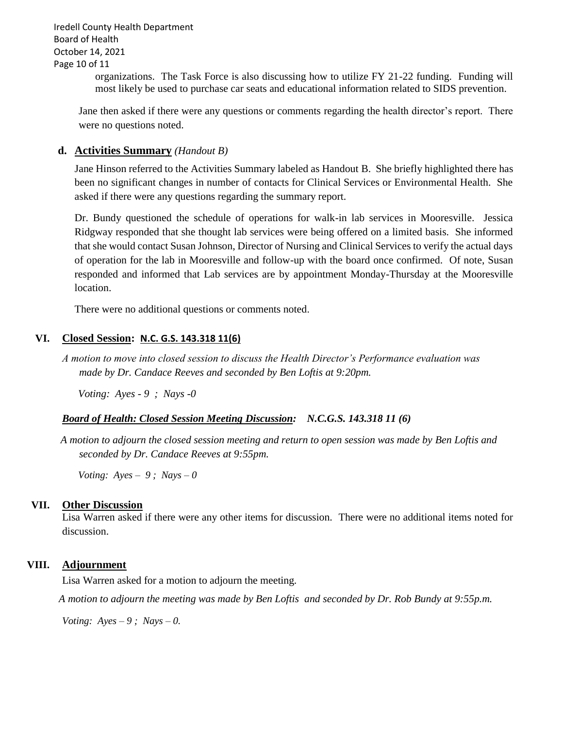Iredell County Health Department Board of Health October 14, 2021 Page 10 of 11

> organizations. The Task Force is also discussing how to utilize FY 21-22 funding. Funding will most likely be used to purchase car seats and educational information related to SIDS prevention.

Jane then asked if there were any questions or comments regarding the health director's report. There were no questions noted.

### **d. Activities Summary** *(Handout B)*

Jane Hinson referred to the Activities Summary labeled as Handout B. She briefly highlighted there has been no significant changes in number of contacts for Clinical Services or Environmental Health. She asked if there were any questions regarding the summary report.

Dr. Bundy questioned the schedule of operations for walk-in lab services in Mooresville. Jessica Ridgway responded that she thought lab services were being offered on a limited basis. She informed that she would contact Susan Johnson, Director of Nursing and Clinical Services to verify the actual days of operation for the lab in Mooresville and follow-up with the board once confirmed. Of note, Susan responded and informed that Lab services are by appointment Monday-Thursday at the Mooresville location.

There were no additional questions or comments noted.

### **VI. Closed Session: N.C. G.S. 143.318 11(6)**

*A motion to move into closed session to discuss the Health Director's Performance evaluation was made by Dr. Candace Reeves and seconded by Ben Loftis at 9:20pm.*

*Voting: Ayes - 9 ; Nays -0*

### *Board of Health: Closed Session Meeting Discussion: N.C.G.S. 143.318 11 (6)*

*A motion to adjourn the closed session meeting and return to open session was made by Ben Loftis and seconded by Dr. Candace Reeves at 9:55pm.*

 *Voting: Ayes – 9 ; Nays – 0*

### **VII. Other Discussion**

Lisa Warren asked if there were any other items for discussion. There were no additional items noted for discussion.

### **VIII. Adjournment**

Lisa Warren asked for a motion to adjourn the meeting.

 *A motion to adjourn the meeting was made by Ben Loftis and seconded by Dr. Rob Bundy at 9:55p.m.*

*Voting:*  $Ayes - 9$ ;  $Nays - 0$ .